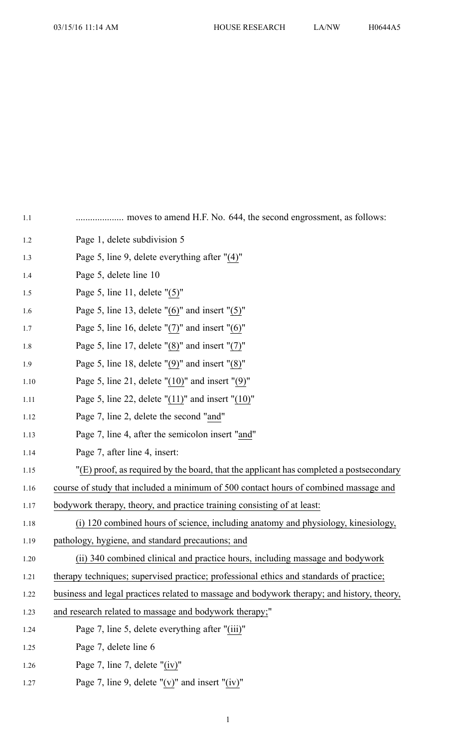| 1.1  |                                                                                            |
|------|--------------------------------------------------------------------------------------------|
| 1.2  | Page 1, delete subdivision 5                                                               |
| 1.3  | Page 5, line 9, delete everything after "(4)"                                              |
| 1.4  | Page 5, delete line 10                                                                     |
| 1.5  | Page 5, line 11, delete $"(5)"$                                                            |
| 1.6  | Page 5, line 13, delete " $(6)$ " and insert " $(5)$ "                                     |
| 1.7  | Page 5, line 16, delete " $(7)$ " and insert " $(6)$ "                                     |
| 1.8  | Page 5, line 17, delete " $(8)$ " and insert " $(7)$ "                                     |
| 1.9  | Page 5, line 18, delete $"(9)"$ and insert $"(8)"$                                         |
| 1.10 | Page 5, line 21, delete " $(10)$ " and insert " $(9)$ "                                    |
| 1.11 | Page 5, line 22, delete " $(11)$ " and insert " $(10)$ "                                   |
| 1.12 | Page 7, line 2, delete the second "and"                                                    |
| 1.13 | Page 7, line 4, after the semicolon insert "and"                                           |
| 1.14 | Page 7, after line 4, insert:                                                              |
| 1.15 | "(E) proof, as required by the board, that the applicant has completed a postsecondary     |
| 1.16 | course of study that included a minimum of 500 contact hours of combined massage and       |
| 1.17 | bodywork therapy, theory, and practice training consisting of at least:                    |
| 1.18 | (i) 120 combined hours of science, including anatomy and physiology, kinesiology,          |
| 1.19 | pathology, hygiene, and standard precautions; and                                          |
| 1.20 | (ii) 340 combined clinical and practice hours, including massage and bodywork              |
| 1.21 | therapy techniques; supervised practice; professional ethics and standards of practice;    |
| 1.22 | business and legal practices related to massage and bodywork therapy; and history, theory, |
| 1.23 | and research related to massage and bodywork therapy;"                                     |
| 1.24 | Page 7, line 5, delete everything after "(iii)"                                            |
| 1.25 | Page 7, delete line 6                                                                      |
| 1.26 | Page 7, line 7, delete " $(iv)$ "                                                          |
| 1.27 | Page 7, line 9, delete " $(v)$ " and insert " $(iv)$ "                                     |